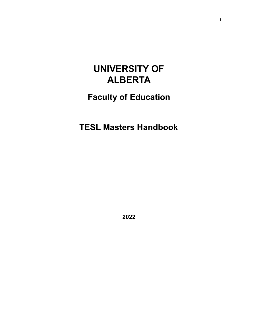# **UNIVERSITY OF ALBERTA**

# **Faculty of Education**

**TESL Masters Handbook**

**2022**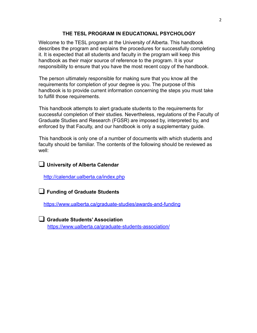## **THE TESL PROGRAM IN EDUCATIONAL PSYCHOLOGY**

Welcome to the TESL program at the University of Alberta. This handbook describes the program and explains the procedures for successfully completing it. It is expected that all students and faculty in the program will keep this handbook as their major source of reference to the program. It is your responsibility to ensure that you have the most recent copy of the handbook.

The person ultimately responsible for making sure that you know all the requirements for completion of your degree is you. The purpose of this handbook is to provide current information concerning the steps you must take to fulfill those requirements.

This handbook attempts to alert graduate students to the requirements for successful completion of their studies. Nevertheless, regulations of the Faculty of Graduate Studies and Research (FGSR) are imposed by, interpreted by, and enforced by that Faculty, and our handbook is only a supplementary guide.

This handbook is only one of a number of documents with which students and faculty should be familiar. The contents of the following should be reviewed as well:

# ❑ **University of Alberta Calendar**

<http://calendar.ualberta.ca/index.php>

❑ **Funding of Graduate Students**

<https://www.ualberta.ca/graduate-studies/awards-and-funding>

❑ **Graduate Students' Association** <https://www.ualberta.ca/graduate-students-association/>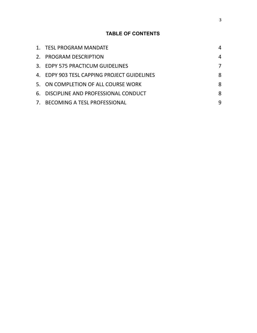# **TABLE OF CONTENTS**

| 1. TESL PROGRAM MANDATE                     | 4 |
|---------------------------------------------|---|
| 2. PROGRAM DESCRIPTION                      | 4 |
| 3. EDPY 575 PRACTICUM GUIDELINES            |   |
| 4. EDPY 903 TESL CAPPING PROJECT GUIDELINES | 8 |
| 5. ON COMPLETION OF ALL COURSE WORK         | 8 |
| 6. DISCIPLINE AND PROFESSIONAL CONDUCT      | 8 |
| 7. BECOMING A TESL PROFESSIONAL             | q |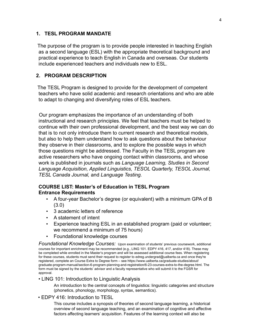### <span id="page-3-0"></span>**1. TESL PROGRAM MANDATE**

The purpose of the program is to provide people interested in teaching English as a second language (ESL) with the appropriate theoretical background and practical experience to teach English in Canada and overseas. Our students include experienced teachers and individuals new to ESL.

### <span id="page-3-1"></span>**2. PROGRAM DESCRIPTION**

The TESL Program is designed to provide for the development of competent teachers who have solid academic and research orientations and who are able to adapt to changing and diversifying roles of ESL teachers.

Our program emphasizes the importance of an understanding of both instructional and research principles. We feel that teachers must be helped to continue with their own professional development, and the best way we can do that is to not only introduce them to current research and theoretical models, but also to help them understand how to ask questions about the behaviour they observe in their classrooms, and to explore the possible ways in which those questions might be addressed. The Faculty in the TESL program are active researchers who have ongoing contact within classrooms, and whose work is published in journals such as *Language Learning, Studies in Second Language Acquisition, Applied Linguistics, TESOL Quarterly, TESOL Journal, TESL Canada Journal,* and *Language Testing.*

## **COURSE LIST: Master's of Education in TESL Program Entrance Requirements**

- A four-year Bachelor's degree (or equivalent) with a minimum GPA of B (3.0)
- 3 academic letters of reference
- A statement of intent
- Experience teaching ESL in an established program (paid or volunteer; we recommend a minimum of 75 hours)
- Foundational knowledge courses

*Foundational Knowledge Courses:* Upon examination of students' previous coursework, additional courses for important enrichment may be recommended (e.g., LING 101. EDPY 416, 417, and/or 418). These may be completed while enrolled in the Master's program and will be assessed additional course fees. When registering for these courses, students must send their request to register to edreg.undergrad@ualberta.ca and once they're registered, complete an Course Extra to Degree form – see https://www.ualberta.ca/graduate-studies/about/ graduate-program-manual/section-6-program-planning-and-registration/6-23-courses-extra-to-the-degree.html. The form must be signed by the students' advisor and a faculty representative who will submit it to the FGSR for approval.

#### • LING 101: Introduction to Linguistic Analysis

An introduction to the central concepts of linguistics: linguistic categories and structure (phonetics, phonology, morphology, syntax, semantics).

#### • EDPY 416: Introduction to TESL

This course includes a synopsis of theories of second language learning, a historical overview of second language teaching, and an examination of cognitive and affective factors affecting learners' acquisition. Features of the learning context will also be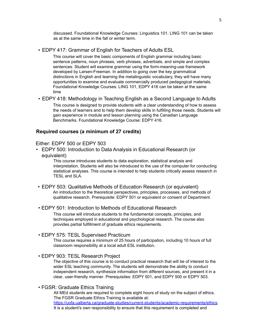discussed. Foundational Knowledge Courses: Linguistics 101. LING 101 can be taken as at the same time in the fall or winter term.

• EDPY 417: Grammar of English for Teachers of Adults ESL

This course will cover the basic components of English grammar including basic sentence patterns, noun phrases, verb phrases, adverbials, and simple and complex sentences. Student will examine grammar using the form-meaning-use framework developed by Larsen-Freeman. In addition to going over the key grammatical distinctions in English and learning the metalinguistic vocabulary, they will have many opportunities to examine and evaluate commercially produced pedagogical materials. Foundational Knowledge Courses: LING 101, EDPY 416 can be taken at the same time

• EDPY 418: Methodology in Teaching English as a Second Language to Adults This course is designed to provide students with a clear understanding of how to assess the needs of learners and to help them develop skills in fulfilling those needs. Students will gain experience in module and lesson planning using the Canadian Language Benchmarks. Foundational Knowledge Course: EDPY 416.

#### **Required courses (a minimum of 27 credits)**

#### Either: EDPY 500 or EDPY 503

• EDPY 500: Introduction to Data Analysis in Educational Research (or equivalent)

> This course introduces students to data exploration, statistical analysis and interpretation. Students will also be introduced to the use of the computer for conducting statistical analyses. This course is intended to help students critically assess research in TESL and SLA.

- EDPY 503: Qualitative Methods of Education Research (or equivalent) An introduction to the theoretical perspectives, principles, processes, and methods of qualitative research. Prerequisite: EDPY 501 or equivalent or consent of Department.
- EDPY 501: Introduction to Methods of Educational Research

This course will introduce students to the fundamental concepts, principles, and techniques employed in educational and psychological research. The course also provides partial fulfillment of graduate ethics requirements.

#### • EDPY 575: TESL Supervised Practicum

This course requires a minimum of 25 hours of participation, including 10 hours of full classroom responsibility at a local adult ESL institution.

• EDPY 903: TESL Research Project

The objective of this course is to conduct practical research that will be of interest to the wider ESL teaching community. The students will demonstrate the ability to conduct independent research, synthesize information from different sources, and present it in a clear, user-friendly manner. Prerequisites: EDPY 501, and EDPY 500 or EDPY 503.

• FGSR: Graduate Ethics Training

All MEd students are required to complete eight hours of study on the subject of ethics. The FGSR Graduate Ethics Training is available at: [https://uofa.ualberta.ca/graduate-studies/current-students/academic-requirements/ethics.](https://uofa.ualberta.ca/graduate-studies/current-students/academic-requirements/ethics) It is a student's own responsibility to ensure that this requirement is completed and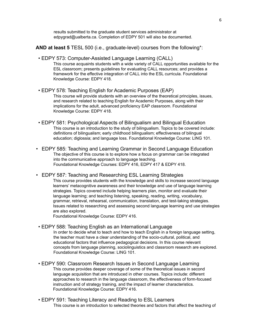results submitted to the graduate student services administrator at [edpygrad@ualberta.ca. C](mailto:edpygrad@ualberta.ca)ompletion of EDPY 501 will also be documented.

- **AND at least 5** TESL 500 (i.e., graduate-level) courses from the following\*:
- EDPY 573: Computer-Assisted Language Learning (CALL) This course acquaints students with a wide variety of CALL opportunities available for the ESL classroom; presents guidelines for evaluating CALL resources; and provides a framework for the effective integration of CALL into the ESL curricula. Foundational Knowledge Course: EDPY 418.
- EDPY 578: Teaching English for Academic Purposes (EAP) This course will provide students with an overview of the theoretical principles, issues, and research related to teaching English for Academic Purposes, along with their implications for the adult, advanced proficiency EAP classroom. Foundational Knowledge Course: EDPY 418.
- EDPY 581: Psychological Aspects of Bilingualism and Bilingual Education This course is an introduction to the study of bilingualism. Topics to be covered include: definitions of bilingualism; early childhood bilingualism; effectiveness of bilingual education; diglossia; and language loss. Foundational Knowledge Course: LING 101.
- EDPY 585: Teaching and Learning Grammar in Second Language Education The objective of this course is to explore how a focus on grammar can be integrated into the communicative approach to language teaching. Foundational Knowledge Courses: EDPY 416, EDPY 417 & EDPY 418.
- EDPY 587: Teaching and Researching ESL Learning Strategies
	- This course provides students with the knowledge and skills to increase second language learners' metacognitive awareness and their knowledge and use of language learning strategies. Topics covered include helping learners plan, monitor and evaluate their language learning; and teaching listening, speaking, reading, writing, vocabulary, grammar, retrieval, rehearsal, communication, translation, and test-taking strategies. Issues related to researching and assessing second language learning and use strategies are also explored.

Foundational Knowledge Course: EDPY 416.

- EDPY 588: Teaching English as an International Language In order to decide what to teach and how to teach English in a foreign language setting, the teacher must have a clear understanding of the socio-cultural, political, and educational factors that influence pedagogical decisions. In this course relevant concepts from language planning, sociolinguistics and classroom research are explored. Foundational Knowledge Course: LING 101.
- EDPY 590: Classroom Research Issues in Second Language Learning This course provides deeper coverage of some of the theoretical issues in second language acquisition that are introduced in other courses. Topics include: different approaches to research in the language classroom, the effectiveness of form-focused instruction and of strategy training, and the impact of learner characteristics. Foundational Knowledge Course: EDPY 416.
- EDPY 591: Teaching Literacy and Reading to ESL Learners This course is an introduction to selected theories and factors that affect the teaching of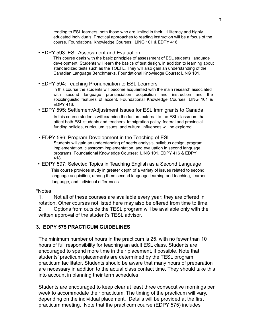reading to ESL learners, both those who are limited in their L1 literacy and highly educated individuals. Practical approaches to reading instruction will be a focus of the course. Foundational Knowledge Courses: LING 101 & EDPY 416.

• EDPY 593: ESL Assessment and Evaluation

This course deals with the basic principles of assessment of ESL students' language development. Students will learn the basics of test design, in addition to learning about standardized tests such as the TOEFL. They will also gain an understanding of the Canadian Language Benchmarks. Foundational Knowledge Course: LING 101.

• EDPY 594: Teaching Pronunciation to ESL Learners

In this course the students will become acquainted with the main research associated with second language pronunciation acquisition and instruction and the sociolinguistic features of accent. Foundational Knowledge Courses: LING 101 & EDPY 416.

• EDPY 595: Settlement/Adjustment Issues for ESL Immigrants to Canada

In this course students will examine the factors external to the ESL classroom that affect both ESL students and teachers. Immigration policy, federal and provincial funding policies, curriculum issues, and cultural influences will be explored.

• EDPY 596: Program Development in the Teaching of ESL Students will gain an understanding of needs analysis, syllabus design, program implementation, classroom implementation, and evaluation in second language programs. Foundational Knowledge Courses: LING 101, EDPY 416 & EDPY

418.

• EDPY 597: Selected Topics in Teaching English as a Second Language This course provides study in greater depth of a variety of issues related to second language acquisition, among them second language learning and teaching, learner language, and individual differences.

#### \*Notes:

1. Not all of these courses are available every year; they are offered in rotation. Other courses not listed here may also be offered from time to time. 2. Options from outside the TESL program will be available only with the written approval of the student's TESL advisor.

## <span id="page-6-0"></span>**3. EDPY 575 PRACTICUM GUIDELINES**

The minimum number of hours in the practicum is 25, with no fewer than 10 hours of full responsibility for teaching an adult ESL class. Students are encouraged to spend more time in their placement, if possible. Note that students' practicum placements are determined by the TESL program practicum facilitator. Students should be aware that many hours of preparation are necessary in addition to the actual class contact time. They should take this into account in planning their term schedules.

Students are encouraged to keep clear at least three consecutive mornings per week to accommodate their practicum. The timing of the practicum will vary, depending on the individual placement. Details will be provided at the first practicum meeting. Note that the practicum course (EDPY 575) includes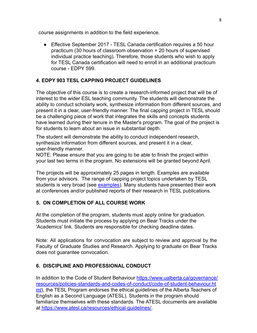course assignments in addition to the field experience.

● Effective September 2017 - TESL Canada certification requires a 50 hour practicum (30 hours of classroom observation + 20 hours of supervised individual practice teaching). Therefore, those students who wish to apply for TESL Canada certification will need to enroll in an additional practicum course - EDPY 599.

## **4. EDPY 903 TESL CAPPING PROJECT GUIDELINES**

The objective of this course is to create a research-informed project that will be of interest to the wider ESL teaching community. The students will demonstrate the ability to conduct scholarly work, synthesize information from different sources, and present it in a clear, user-friendly manner. The final capping project in TESL should be a challenging piece of work that integrates the skills and concepts students have learned during their tenure in the Master's program. The goal of the project is for students to learn about an issue in substantial depth.

The student will demonstrate the ability to conduct independent research, synthesize information from different sources, and present it in a clear, user-friendly manner.

NOTE: Please ensure that you are going to be able to finish the project within your last two terms in the program. No extensions will be granted beyond April.

The projects will be approximately 25 pages in length. Examples are available from your advisors. The range of capping project topics undertaken by TESL students is very broad (see [examples\)](https://www.ualberta.ca/educational-psychology/graduate-programs/teaching-english-as-a-second-language/tesl-students-capping-projects). Many students have presented their work at conferences and/or published reports of their research in TESL publications.

## <span id="page-7-0"></span>**5. ON COMPLETION OF ALL COURSE WORK**

At the completion of the program, students must apply online for graduation. Students must initiate the process by applying on Bear Tracks under the 'Academics' link. Students are responsible for checking deadline dates.

Note: All applications for convocation are subject to review and approval by the Faculty of Graduate Studies and Research. Applying to graduate on Bear Tracks does not guarantee convocation.

## <span id="page-7-1"></span>**6. DISCIPLINE AND PROFESSIONAL CONDUCT**

In addition to the Code of Student Behaviour [https://www.ualberta.ca/governance/](https://www.ualberta.ca/governance/resources/policies-standards-and-codes-of-conduct/code-of-student-behaviour.html) [resources/policies-standards-and-codes-of-conduct/code-of-student-behaviour.ht](https://www.ualberta.ca/governance/resources/policies-standards-and-codes-of-conduct/code-of-student-behaviour.html) [ml\)](https://www.ualberta.ca/governance/resources/policies-standards-and-codes-of-conduct/code-of-student-behaviour.html), the TESL Program endorses the ethical guidelines of the Alberta Teachers of English as a Second Language (ATESL). Students in the program should familiarize themselves with these standards. The ATESL documents are available at [https://www.atesl.ca/resources/ethical-guidelines/.](https://www.atesl.ca/resources/ethical-guidelines/)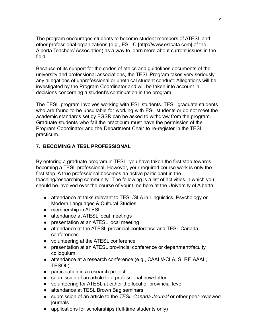The program encourages students to become student members of ATESL and other professional organizations (e.g., ESL-[C \[http://www.eslcata.com\]](http://www.eslcata.com/) of the Alberta Teachers' Association) as a way to learn more about current issues in the field.

Because of its support for the codes of ethics and guidelines documents of the university and professional associations, the TESL Program takes very seriously any allegations of unprofessional or unethical student conduct. Allegations will be investigated by the Program Coordinator and will be taken into account in decisions concerning a student's continuation in the program.

The TESL program involves working with ESL students. TESL graduate students who are found to be unsuitable for working with ESL students or do not meet the academic standards set by FGSR can be asked to withdraw from the program. Graduate students who fail the practicum must have the permission of the Program Coordinator and the Department Chair to re-register in the TESL practicum.

## <span id="page-8-0"></span>**7. BECOMING A TESL PROFESSIONAL**

By entering a graduate program in TESL, you have taken the first step towards becoming a TESL professional. However, your required course work is only the first step. A true professional becomes an active participant in the teaching/researching community. The following is a list of activities in which you should be involved over the course of your time here at the University of Alberta:

- attendance at talks relevant to TESL/SLA in Linguistics, Psychology or Modern Languages & Cultural Studies
- membership in ATESL
- attendance at ATESL local meetings
- presentation at an ATESL local meeting
- attendance at the ATESL provincial conference and TESL Canada conferences
- volunteering at the ATESL conference
- presentation at an ATESL provincial conference or department/faculty colloquium
- attendance at a research conference (e.g., CAAL/ACLA, SLRF, AAAL, TESOL)
- participation in a research project
- submission of an article to a professional newsletter
- volunteering for ATESL at either the local or provincial level
- attendance at TESL Brown Bag seminars
- submission of an article to the *TESL Canada Journal* or other peer-reviewed journals
- applications for scholarships (full-time students only)